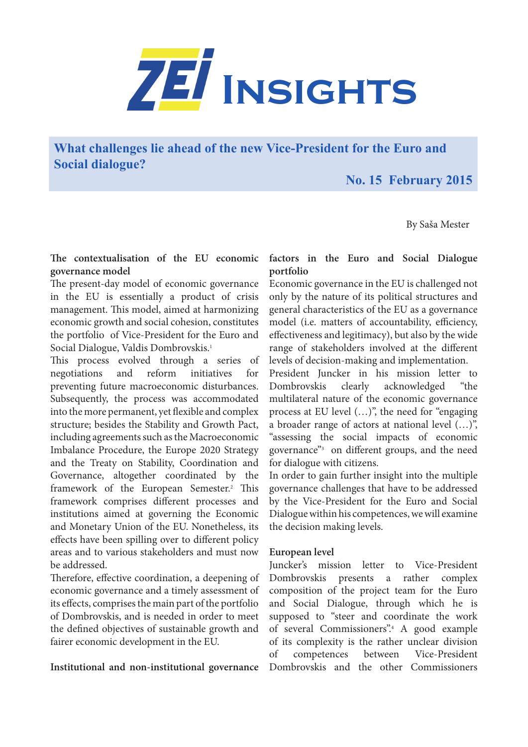

**What challenges lie ahead of the new Vice-President for the Euro and Social dialogue?**

 **No. 15 February 2015**

By Saša Mester

### **The contextualisation of the EU economic governance model**

The present-day model of economic governance in the EU is essentially a product of crisis management. This model, aimed at harmonizing economic growth and social cohesion, constitutes the portfolio of Vice-President for the Euro and Social Dialogue, Valdis Dombrovskis.<sup>1</sup>

This process evolved through a series of negotiations and reform initiatives for preventing future macroeconomic disturbances. Subsequently, the process was accommodated into the more permanent, yet flexible and complex structure; besides the Stability and Growth Pact, including agreements such as the Macroeconomic Imbalance Procedure, the Europe 2020 Strategy and the Treaty on Stability, Coordination and Governance, altogether coordinated by the framework of the European Semester.<sup>2</sup> This framework comprises different processes and institutions aimed at governing the Economic and Monetary Union of the EU. Nonetheless, its effects have been spilling over to different policy areas and to various stakeholders and must now be addressed.

Therefore, effective coordination, a deepening of economic governance and a timely assessment of its effects, comprises the main part of the portfolio of Dombrovskis, and is needed in order to meet the defined objectives of sustainable growth and fairer economic development in the EU.

# **Institutional and non-institutional governance**

### **factors in the Euro and Social Dialogue portfolio**

Economic governance in the EU is challenged not only by the nature of its political structures and general characteristics of the EU as a governance model (i.e. matters of accountability, efficiency, effectiveness and legitimacy), but also by the wide range of stakeholders involved at the different levels of decision-making and implementation.

President Juncker in his mission letter to Dombrovskis clearly acknowledged "the multilateral nature of the economic governance process at EU level (…)", the need for "engaging a broader range of actors at national level (…)", "assessing the social impacts of economic governance"3 on different groups, and the need for dialogue with citizens.

In order to gain further insight into the multiple governance challenges that have to be addressed by the Vice-President for the Euro and Social Dialogue within his competences, we will examine the decision making levels.

#### **European level**

Juncker's mission letter to Vice-President Dombrovskis presents a rather complex composition of the project team for the Euro and Social Dialogue, through which he is supposed to "steer and coordinate the work of several Commissioners".4 A good example of its complexity is the rather unclear division of competences between Vice-President Dombrovskis and the other Commissioners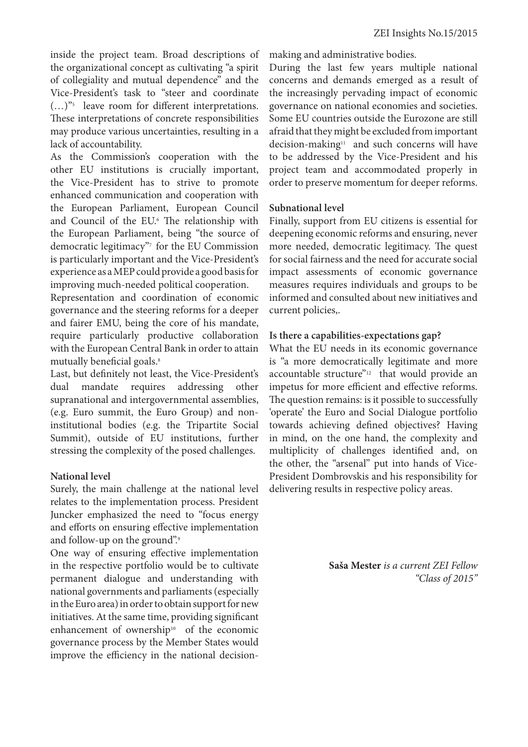inside the project team. Broad descriptions of the organizational concept as cultivating "a spirit of collegiality and mutual dependence" and the Vice-President's task to "steer and coordinate  $(...)^{v_5}$  leave room for different interpretations. These interpretations of concrete responsibilities may produce various uncertainties, resulting in a lack of accountability.

As the Commission's cooperation with the other EU institutions is crucially important, the Vice-President has to strive to promote enhanced communication and cooperation with the European Parliament, European Council and Council of the EU.<sup>6</sup> The relationship with the European Parliament, being "the source of democratic legitimacy"7 for the EU Commission is particularly important and the Vice-President's experience as a MEP could provide a good basis for improving much-needed political cooperation.

Representation and coordination of economic governance and the steering reforms for a deeper and fairer EMU, being the core of his mandate, require particularly productive collaboration with the European Central Bank in order to attain mutually beneficial goals.<sup>8</sup>

Last, but definitely not least, the Vice-President's dual mandate requires addressing other supranational and intergovernmental assemblies, (e.g. Euro summit, the Euro Group) and noninstitutional bodies (e.g. the Tripartite Social Summit), outside of EU institutions, further stressing the complexity of the posed challenges.

# **National level**

Surely, the main challenge at the national level relates to the implementation process. President Juncker emphasized the need to "focus energy and efforts on ensuring effective implementation and follow-up on the ground".

One way of ensuring effective implementation in the respective portfolio would be to cultivate permanent dialogue and understanding with national governments and parliaments (especially in the Euro area) in order to obtain support for new initiatives. At the same time, providing significant enhancement of ownership<sup>10</sup> of the economic governance process by the Member States would improve the efficiency in the national decisionmaking and administrative bodies.

During the last few years multiple national concerns and demands emerged as a result of the increasingly pervading impact of economic governance on national economies and societies. Some EU countries outside the Eurozone are still afraid that they might be excluded from important decision-making<sup>11</sup> and such concerns will have to be addressed by the Vice-President and his project team and accommodated properly in order to preserve momentum for deeper reforms.

# **Subnational level**

Finally, support from EU citizens is essential for deepening economic reforms and ensuring, never more needed, democratic legitimacy. The quest for social fairness and the need for accurate social impact assessments of economic governance measures requires individuals and groups to be informed and consulted about new initiatives and current policies,.

### **Is there a capabilities-expectations gap?**

What the EU needs in its economic governance is "a more democratically legitimate and more accountable structure"<sup>12</sup> that would provide an impetus for more efficient and effective reforms. The question remains: is it possible to successfully 'operate' the Euro and Social Dialogue portfolio towards achieving defined objectives? Having in mind, on the one hand, the complexity and multiplicity of challenges identified and, on the other, the "arsenal" put into hands of Vice-President Dombrovskis and his responsibility for delivering results in respective policy areas.

> **Saša Mester** *is a current ZEI Fellow "Class of 2015"*